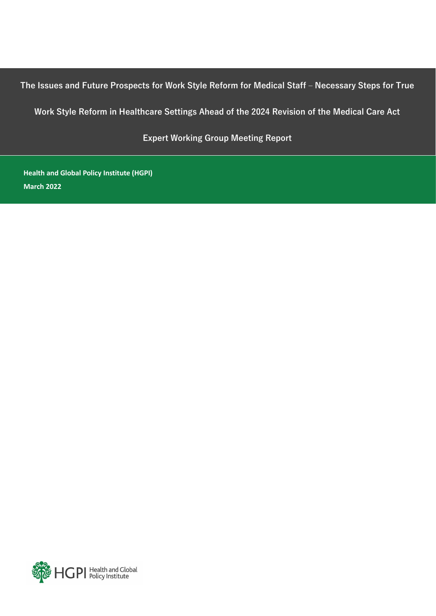**The Issues and Future Prospects for Work Style Reform for Medical Staff – Necessary Steps for True** 

**Work Style Reform in Healthcare Settings Ahead of the 2024 Revision of the Medical Care Act**

**Expert Working Group Meeting Report**

**Health and Global Policy Institute (HGPI) March 2022**

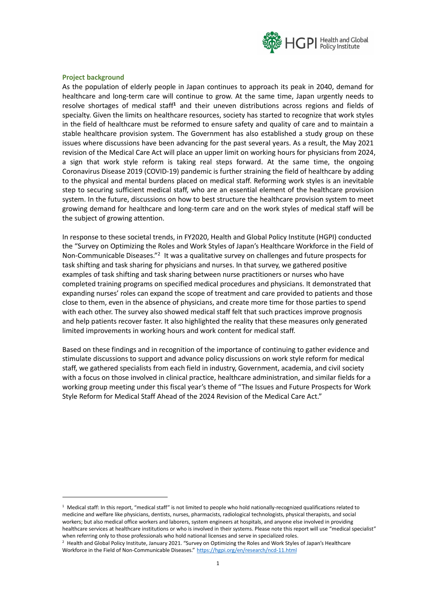

### **Project background**

As the population of elderly people in Japan continues to approach its peak in 2040, demand for healthcare and long-term care will continue to grow. At the same time, Japan urgently needs to resolve shortages of medical staff**<sup>1</sup>** and their uneven distributions across regions and fields of specialty. Given the limits on healthcare resources, society has started to recognize that work styles in the field of healthcare must be reformed to ensure safety and quality of care and to maintain a stable healthcare provision system. The Government has also established a study group on these issues where discussions have been advancing for the past several years. As a result, the May 2021 revision of the Medical Care Act will place an upper limit on working hours for physicians from 2024, a sign that work style reform is taking real steps forward. At the same time, the ongoing Coronavirus Disease 2019 (COVID-19) pandemic is further straining the field of healthcare by adding to the physical and mental burdens placed on medical staff. Reforming work styles is an inevitable step to securing sufficient medical staff, who are an essential element of the healthcare provision system. In the future, discussions on how to best structure the healthcare provision system to meet growing demand for healthcare and long-term care and on the work styles of medical staff will be the subject of growing attention.

In response to these societal trends, in FY2020, Health and Global Policy Institute (HGPI) conducted the "Survey on Optimizing the Roles and Work Styles of Japan's Healthcare Workforce in the Field of Non-Communicable Diseases."<sup>2</sup> It was a qualitative survey on challenges and future prospects for task shifting and task sharing for physicians and nurses. In that survey, we gathered positive examples of task shifting and task sharing between nurse practitioners or nurses who have completed training programs on specified medical procedures and physicians. It demonstrated that expanding nurses' roles can expand the scope of treatment and care provided to patients and those close to them, even in the absence of physicians, and create more time for those parties to spend with each other. The survey also showed medical staff felt that such practices improve prognosis and help patients recover faster. It also highlighted the reality that these measures only generated limited improvements in working hours and work content for medical staff.

Based on these findings and in recognition of the importance of continuing to gather evidence and stimulate discussions to support and advance policy discussions on work style reform for medical staff, we gathered specialists from each field in industry, Government, academia, and civil society with a focus on those involved in clinical practice, healthcare administration, and similar fields for a working group meeting under this fiscal year's theme of "The Issues and Future Prospects for Work Style Reform for Medical Staff Ahead of the 2024 Revision of the Medical Care Act."

 $1$  Medical staff: In this report, "medical staff" is not limited to people who hold nationally-recognized qualifications related to medicine and welfare like physicians, dentists, nurses, pharmacists, radiological technologists, physical therapists, and social workers; but also medical office workers and laborers, system engineers at hospitals, and anyone else involved in providing healthcare services at healthcare institutions or who is involved in their systems. Please note this report will use "medical specialist" when referring only to those professionals who hold national licenses and serve in specialized roles.

<sup>2</sup> Health and Global Policy Institute, January 2021. "Survey on Optimizing the Roles and Work Styles of Japan's Healthcare Workforce in the Field of Non-Communicable Diseases." [https://hgpi.org/en/research/ncd](https://hgpi.org/en/research/ncd-11.html)-11.html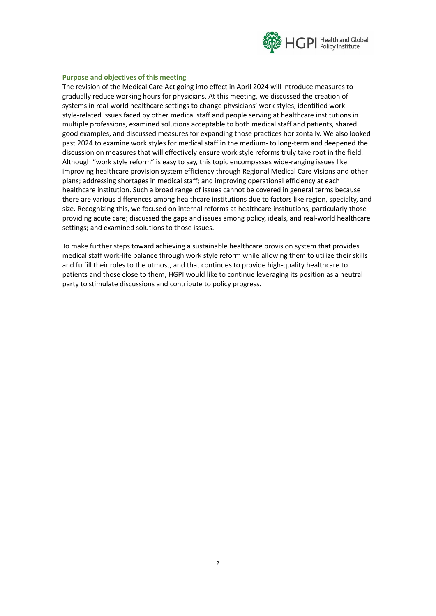

### **Purpose and objectives of this meeting**

The revision of the Medical Care Act going into effect in April 2024 will introduce measures to gradually reduce working hours for physicians. At this meeting, we discussed the creation of systems in real-world healthcare settings to change physicians' work styles, identified work style-related issues faced by other medical staff and people serving at healthcare institutions in multiple professions, examined solutions acceptable to both medical staff and patients, shared good examples, and discussed measures for expanding those practices horizontally. We also looked past 2024 to examine work styles for medical staff in the medium- to long-term and deepened the discussion on measures that will effectively ensure work style reforms truly take root in the field. Although "work style reform" is easy to say, this topic encompasses wide-ranging issues like improving healthcare provision system efficiency through Regional Medical Care Visions and other plans; addressing shortages in medical staff; and improving operational efficiency at each healthcare institution. Such a broad range of issues cannot be covered in general terms because there are various differences among healthcare institutions due to factors like region, specialty, and size. Recognizing this, we focused on internal reforms at healthcare institutions, particularly those providing acute care; discussed the gaps and issues among policy, ideals, and real-world healthcare settings; and examined solutions to those issues.

To make further steps toward achieving a sustainable healthcare provision system that provides medical staff work-life balance through work style reform while allowing them to utilize their skills and fulfill their roles to the utmost, and that continues to provide high-quality healthcare to patients and those close to them, HGPI would like to continue leveraging its position as a neutral party to stimulate discussions and contribute to policy progress.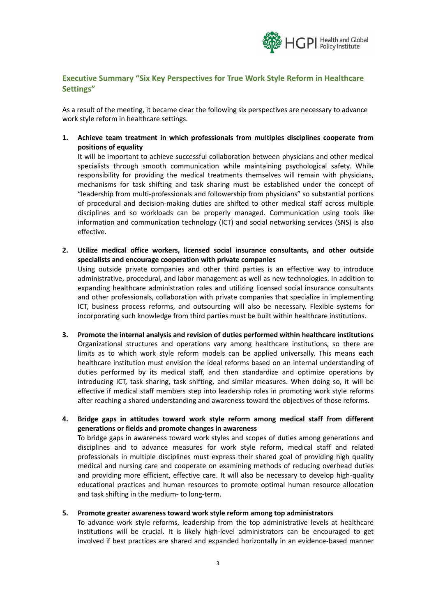

# **Executive Summary "Six Key Perspectives for True Work Style Reform in Healthcare Settings"**

As a result of the meeting, it became clear the following six perspectives are necessary to advance work style reform in healthcare settings.

**1. Achieve team treatment in which professionals from multiples disciplines cooperate from positions of equality**

It will be important to achieve successful collaboration between physicians and other medical specialists through smooth communication while maintaining psychological safety. While responsibility for providing the medical treatments themselves will remain with physicians, mechanisms for task shifting and task sharing must be established under the concept of "leadership from multi-professionals and followership from physicians" so substantial portions of procedural and decision-making duties are shifted to other medical staff across multiple disciplines and so workloads can be properly managed. Communication using tools like information and communication technology (ICT) and social networking services (SNS) is also effective.

**2. Utilize medical office workers, licensed social insurance consultants, and other outside specialists and encourage cooperation with private companies**

Using outside private companies and other third parties is an effective way to introduce administrative, procedural, and labor management as well as new technologies. In addition to expanding healthcare administration roles and utilizing licensed social insurance consultants and other professionals, collaboration with private companies that specialize in implementing ICT, business process reforms, and outsourcing will also be necessary. Flexible systems for incorporating such knowledge from third parties must be built within healthcare institutions.

- **3. Promote the internal analysis and revision of duties performed within healthcare institutions** Organizational structures and operations vary among healthcare institutions, so there are limits as to which work style reform models can be applied universally. This means each healthcare institution must envision the ideal reforms based on an internal understanding of duties performed by its medical staff, and then standardize and optimize operations by introducing ICT, task sharing, task shifting, and similar measures. When doing so, it will be effective if medical staff members step into leadership roles in promoting work style reforms after reaching a shared understanding and awareness toward the objectives of those reforms.
- **4. Bridge gaps in attitudes toward work style reform among medical staff from different generations or fields and promote changes in awareness**

To bridge gaps in awareness toward work styles and scopes of duties among generations and disciplines and to advance measures for work style reform, medical staff and related professionals in multiple disciplines must express their shared goal of providing high quality medical and nursing care and cooperate on examining methods of reducing overhead duties and providing more efficient, effective care. It will also be necessary to develop high-quality educational practices and human resources to promote optimal human resource allocation and task shifting in the medium- to long-term.

### **5. Promote greater awareness toward work style reform among top administrators**

To advance work style reforms, leadership from the top administrative levels at healthcare institutions will be crucial. It is likely high-level administrators can be encouraged to get involved if best practices are shared and expanded horizontally in an evidence-based manner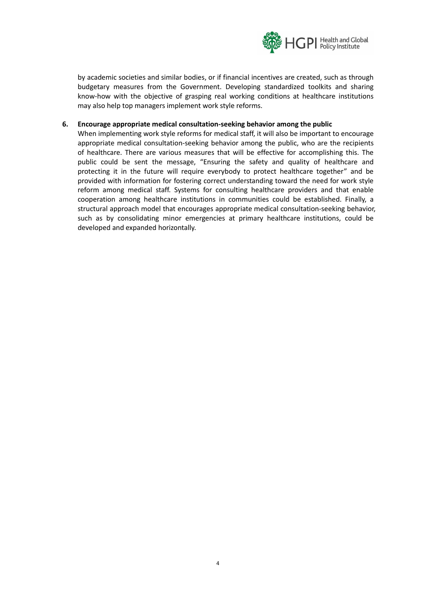

by academic societies and similar bodies, or if financial incentives are created, such as through budgetary measures from the Government. Developing standardized toolkits and sharing know-how with the objective of grasping real working conditions at healthcare institutions may also help top managers implement work style reforms.

### **6. Encourage appropriate medical consultation-seeking behavior among the public**

When implementing work style reforms for medical staff, it will also be important to encourage appropriate medical consultation-seeking behavior among the public, who are the recipients of healthcare. There are various measures that will be effective for accomplishing this. The public could be sent the message, "Ensuring the safety and quality of healthcare and protecting it in the future will require everybody to protect healthcare together" and be provided with information for fostering correct understanding toward the need for work style reform among medical staff. Systems for consulting healthcare providers and that enable cooperation among healthcare institutions in communities could be established. Finally, a structural approach model that encourages appropriate medical consultation-seeking behavior, such as by consolidating minor emergencies at primary healthcare institutions, could be developed and expanded horizontally.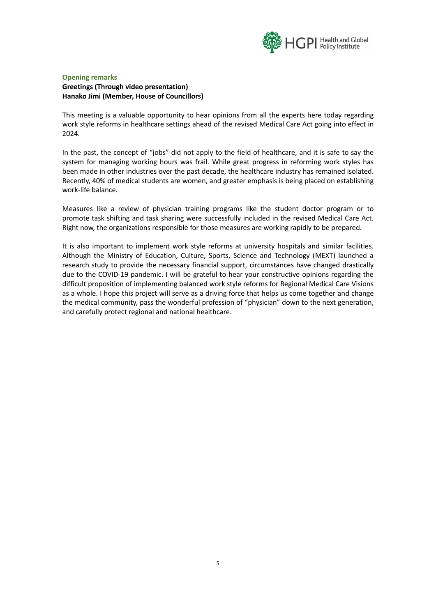

# **Opening remarks Greetings (Through video presentation) Hanako Jimi (Member, House of Councillors)**

This meeting is a valuable opportunity to hear opinions from all the experts here today regarding work style reforms in healthcare settings ahead of the revised Medical Care Act going into effect in 2024.

In the past, the concept of "jobs" did not apply to the field of healthcare, and it is safe to say the system for managing working hours was frail. While great progress in reforming work styles has been made in other industries over the past decade, the healthcare industry has remained isolated. Recently, 40% of medical students are women, and greater emphasis is being placed on establishing work-life balance.

Measures like a review of physician training programs like the student doctor program or to promote task shifting and task sharing were successfully included in the revised Medical Care Act. Right now, the organizations responsible for those measures are working rapidly to be prepared.

It is also important to implement work style reforms at university hospitals and similar facilities. Although the Ministry of Education, Culture, Sports, Science and Technology (MEXT) launched a research study to provide the necessary financial support, circumstances have changed drastically due to the COVID-19 pandemic. I will be grateful to hear your constructive opinions regarding the difficult proposition of implementing balanced work style reforms for Regional Medical Care Visions as a whole. I hope this project will serve as a driving force that helps us come together and change the medical community, pass the wonderful profession of "physician" down to the next generation, and carefully protect regional and national healthcare.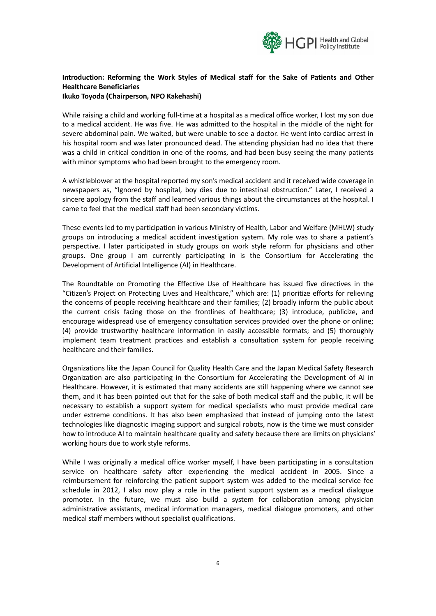

# **Introduction: Reforming the Work Styles of Medical staff for the Sake of Patients and Other Healthcare Beneficiaries**

### **Ikuko Toyoda (Chairperson, NPO Kakehashi)**

While raising a child and working full-time at a hospital as a medical office worker, I lost my son due to a medical accident. He was five. He was admitted to the hospital in the middle of the night for severe abdominal pain. We waited, but were unable to see a doctor. He went into cardiac arrest in his hospital room and was later pronounced dead. The attending physician had no idea that there was a child in critical condition in one of the rooms, and had been busy seeing the many patients with minor symptoms who had been brought to the emergency room.

A whistleblower at the hospital reported my son's medical accident and it received wide coverage in newspapers as, "Ignored by hospital, boy dies due to intestinal obstruction." Later, I received a sincere apology from the staff and learned various things about the circumstances at the hospital. I came to feel that the medical staff had been secondary victims.

These events led to my participation in various Ministry of Health, Labor and Welfare (MHLW) study groups on introducing a medical accident investigation system. My role was to share a patient's perspective. I later participated in study groups on work style reform for physicians and other groups. One group I am currently participating in is the Consortium for Accelerating the Development of Artificial Intelligence (AI) in Healthcare.

The Roundtable on Promoting the Effective Use of Healthcare has issued five directives in the "Citizen's Project on Protecting Lives and Healthcare," which are: (1) prioritize efforts for relieving the concerns of people receiving healthcare and their families; (2) broadly inform the public about the current crisis facing those on the frontlines of healthcare; (3) introduce, publicize, and encourage widespread use of emergency consultation services provided over the phone or online; (4) provide trustworthy healthcare information in easily accessible formats; and (5) thoroughly implement team treatment practices and establish a consultation system for people receiving healthcare and their families.

Organizations like the Japan Council for Quality Health Care and the Japan Medical Safety Research Organization are also participating in the Consortium for Accelerating the Development of AI in Healthcare. However, it is estimated that many accidents are still happening where we cannot see them, and it has been pointed out that for the sake of both medical staff and the public, it will be necessary to establish a support system for medical specialists who must provide medical care under extreme conditions. It has also been emphasized that instead of jumping onto the latest technologies like diagnostic imaging support and surgical robots, now is the time we must consider how to introduce AI to maintain healthcare quality and safety because there are limits on physicians' working hours due to work style reforms.

While I was originally a medical office worker myself, I have been participating in a consultation service on healthcare safety after experiencing the medical accident in 2005. Since a reimbursement for reinforcing the patient support system was added to the medical service fee schedule in 2012, I also now play a role in the patient support system as a medical dialogue promoter. In the future, we must also build a system for collaboration among physician administrative assistants, medical information managers, medical dialogue promoters, and other medical staff members without specialist qualifications.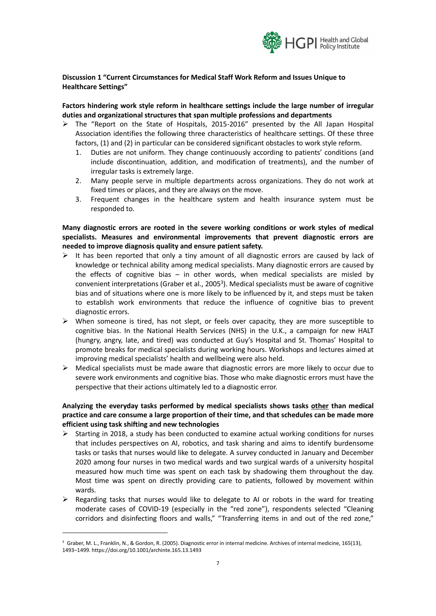

# **Discussion 1 "Current Circumstances for Medical Staff Work Reform and Issues Unique to Healthcare Settings"**

## **Factors hindering work style reform in healthcare settings include the large number of irregular duties and organizational structures that span multiple professions and departments**

- $\triangleright$  The "Report on the State of Hospitals, 2015-2016" presented by the All Japan Hospital Association identifies the following three characteristics of healthcare settings. Of these three factors, (1) and (2) in particular can be considered significant obstacles to work style reform.
	- 1. Duties are not uniform. They change continuously according to patients' conditions (and include discontinuation, addition, and modification of treatments), and the number of irregular tasks is extremely large.
	- 2. Many people serve in multiple departments across organizations. They do not work at fixed times or places, and they are always on the move.
	- 3. Frequent changes in the healthcare system and health insurance system must be responded to.

**Many diagnostic errors are rooted in the severe working conditions or work styles of medical specialists. Measures and environmental improvements that prevent diagnostic errors are needed to improve diagnosis quality and ensure patient safety.**

- $\triangleright$  It has been reported that only a tiny amount of all diagnostic errors are caused by lack of knowledge or technical ability among medical specialists. Many diagnostic errors are caused by the effects of cognitive bias  $-$  in other words, when medical specialists are misled by convenient interpretations (Graber et al., 2005<sup>3</sup>). Medical specialists must be aware of cognitive bias and of situations where one is more likely to be influenced by it, and steps must be taken to establish work environments that reduce the influence of cognitive bias to prevent diagnostic errors.
- $\triangleright$  When someone is tired, has not slept, or feels over capacity, they are more susceptible to cognitive bias. In the National Health Services (NHS) in the U.K., a campaign for new HALT (hungry, angry, late, and tired) was conducted at Guy's Hospital and St. Thomas' Hospital to promote breaks for medical specialists during working hours. Workshops and lectures aimed at improving medical specialists' health and wellbeing were also held.
- $\triangleright$  Medical specialists must be made aware that diagnostic errors are more likely to occur due to severe work environments and cognitive bias. Those who make diagnostic errors must have the perspective that their actions ultimately led to a diagnostic error.

# **Analyzing the everyday tasks performed by medical specialists shows tasks other than medical practice and care consume a large proportion of their time, and that schedules can be made more efficient using task shifting and new technologies**

- $\triangleright$  Starting in 2018, a study has been conducted to examine actual working conditions for nurses that includes perspectives on AI, robotics, and task sharing and aims to identify burdensome tasks or tasks that nurses would like to delegate. A survey conducted in January and December 2020 among four nurses in two medical wards and two surgical wards of a university hospital measured how much time was spent on each task by shadowing them throughout the day. Most time was spent on directly providing care to patients, followed by movement within wards.
- ➢ Regarding tasks that nurses would like to delegate to AI or robots in the ward for treating moderate cases of COVID-19 (especially in the "red zone"), respondents selected "Cleaning corridors and disinfecting floors and walls," "Transferring items in and out of the red zone,"

<sup>3</sup> Graber, M. L., Franklin, N., & Gordon, R. (2005). Diagnostic error in internal medicine. Archives of internal medicine, 165(13), 1493–1499. https://doi.org/10.1001/archinte.165.13.1493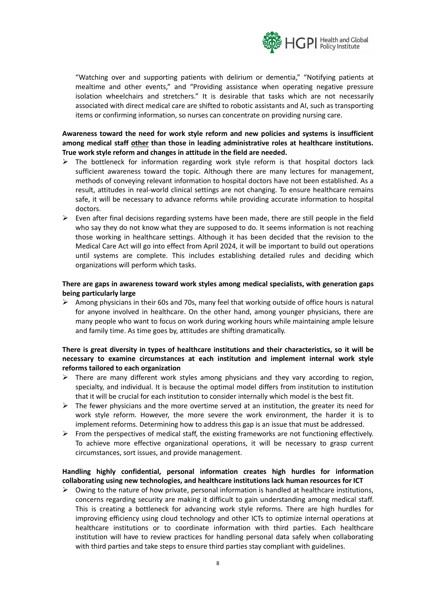

"Watching over and supporting patients with delirium or dementia," "Notifying patients at mealtime and other events," and "Providing assistance when operating negative pressure isolation wheelchairs and stretchers." It is desirable that tasks which are not necessarily associated with direct medical care are shifted to robotic assistants and AI, such as transporting items or confirming information, so nurses can concentrate on providing nursing care.

# **Awareness toward the need for work style reform and new policies and systems is insufficient among medical staff other than those in leading administrative roles at healthcare institutions. True work style reform and changes in attitude in the field are needed.**

- $\triangleright$  The bottleneck for information regarding work style reform is that hospital doctors lack sufficient awareness toward the topic. Although there are many lectures for management, methods of conveying relevant information to hospital doctors have not been established. As a result, attitudes in real-world clinical settings are not changing. To ensure healthcare remains safe, it will be necessary to advance reforms while providing accurate information to hospital doctors.
- $\triangleright$  Even after final decisions regarding systems have been made, there are still people in the field who say they do not know what they are supposed to do. It seems information is not reaching those working in healthcare settings. Although it has been decided that the revision to the Medical Care Act will go into effect from April 2024, it will be important to build out operations until systems are complete. This includes establishing detailed rules and deciding which organizations will perform which tasks.

### **There are gaps in awareness toward work styles among medical specialists, with generation gaps being particularly large**

 $\triangleright$  Among physicians in their 60s and 70s, many feel that working outside of office hours is natural for anyone involved in healthcare. On the other hand, among younger physicians, there are many people who want to focus on work during working hours while maintaining ample leisure and family time. As time goes by, attitudes are shifting dramatically.

# **There is great diversity in types of healthcare institutions and their characteristics, so it will be necessary to examine circumstances at each institution and implement internal work style reforms tailored to each organization**

- $\triangleright$  There are many different work styles among physicians and they vary according to region, specialty, and individual. It is because the optimal model differs from institution to institution that it will be crucial for each institution to consider internally which model is the best fit.
- $\triangleright$  The fewer physicians and the more overtime served at an institution, the greater its need for work style reform. However, the more severe the work environment, the harder it is to implement reforms. Determining how to address this gap is an issue that must be addressed.
- $\triangleright$  From the perspectives of medical staff, the existing frameworks are not functioning effectively. To achieve more effective organizational operations, it will be necessary to grasp current circumstances, sort issues, and provide management.

## **Handling highly confidential, personal information creates high hurdles for information collaborating using new technologies, and healthcare institutions lack human resources for ICT**

 $\triangleright$  Owing to the nature of how private, personal information is handled at healthcare institutions, concerns regarding security are making it difficult to gain understanding among medical staff. This is creating a bottleneck for advancing work style reforms. There are high hurdles for improving efficiency using cloud technology and other ICTs to optimize internal operations at healthcare institutions or to coordinate information with third parties. Each healthcare institution will have to review practices for handling personal data safely when collaborating with third parties and take steps to ensure third parties stay compliant with guidelines.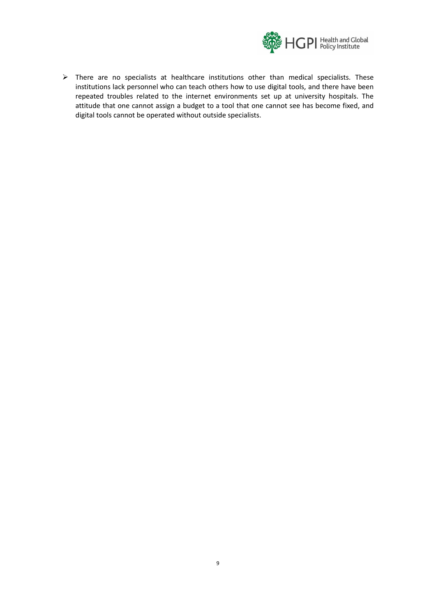

➢ There are no specialists at healthcare institutions other than medical specialists. These institutions lack personnel who can teach others how to use digital tools, and there have been repeated troubles related to the internet environments set up at university hospitals. The attitude that one cannot assign a budget to a tool that one cannot see has become fixed, and digital tools cannot be operated without outside specialists.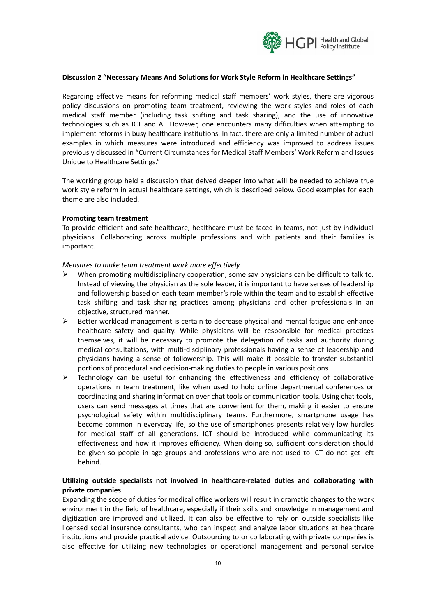

### **Discussion 2 "Necessary Means And Solutions for Work Style Reform in Healthcare Settings"**

Regarding effective means for reforming medical staff members' work styles, there are vigorous policy discussions on promoting team treatment, reviewing the work styles and roles of each medical staff member (including task shifting and task sharing), and the use of innovative technologies such as ICT and AI. However, one encounters many difficulties when attempting to implement reforms in busy healthcare institutions. In fact, there are only a limited number of actual examples in which measures were introduced and efficiency was improved to address issues previously discussed in "Current Circumstances for Medical Staff Members' Work Reform and Issues Unique to Healthcare Settings."

The working group held a discussion that delved deeper into what will be needed to achieve true work style reform in actual healthcare settings, which is described below. Good examples for each theme are also included.

#### **Promoting team treatment**

To provide efficient and safe healthcare, healthcare must be faced in teams, not just by individual physicians. Collaborating across multiple professions and with patients and their families is important.

#### *Measures to make team treatment work more effectively*

- $\triangleright$  When promoting multidisciplinary cooperation, some say physicians can be difficult to talk to. Instead of viewing the physician as the sole leader, it is important to have senses of leadership and followership based on each team member's role within the team and to establish effective task shifting and task sharing practices among physicians and other professionals in an objective, structured manner.
- $\triangleright$  Better workload management is certain to decrease physical and mental fatigue and enhance healthcare safety and quality. While physicians will be responsible for medical practices themselves, it will be necessary to promote the delegation of tasks and authority during medical consultations, with multi-disciplinary professionals having a sense of leadership and physicians having a sense of followership. This will make it possible to transfer substantial portions of procedural and decision-making duties to people in various positions.
- $\triangleright$  Technology can be useful for enhancing the effectiveness and efficiency of collaborative operations in team treatment, like when used to hold online departmental conferences or coordinating and sharing information over chat tools or communication tools. Using chat tools, users can send messages at times that are convenient for them, making it easier to ensure psychological safety within multidisciplinary teams. Furthermore, smartphone usage has become common in everyday life, so the use of smartphones presents relatively low hurdles for medical staff of all generations. ICT should be introduced while communicating its effectiveness and how it improves efficiency. When doing so, sufficient consideration should be given so people in age groups and professions who are not used to ICT do not get left behind.

## **Utilizing outside specialists not involved in healthcare-related duties and collaborating with private companies**

Expanding the scope of duties for medical office workers will result in dramatic changes to the work environment in the field of healthcare, especially if their skills and knowledge in management and digitization are improved and utilized. It can also be effective to rely on outside specialists like licensed social insurance consultants, who can inspect and analyze labor situations at healthcare institutions and provide practical advice. Outsourcing to or collaborating with private companies is also effective for utilizing new technologies or operational management and personal service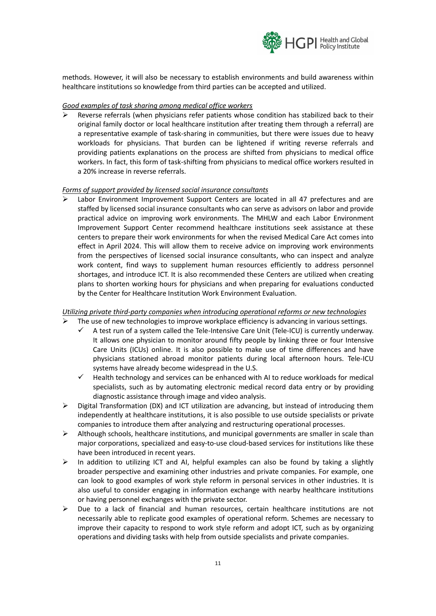

methods. However, it will also be necessary to establish environments and build awareness within healthcare institutions so knowledge from third parties can be accepted and utilized.

## *Good examples of task sharing among medical office workers*

Reverse referrals (when physicians refer patients whose condition has stabilized back to their original family doctor or local healthcare institution after treating them through a referral) are a representative example of task-sharing in communities, but there were issues due to heavy workloads for physicians. That burden can be lightened if writing reverse referrals and providing patients explanations on the process are shifted from physicians to medical office workers. In fact, this form of task-shifting from physicians to medical office workers resulted in a 20% increase in reverse referrals.

### *Forms of support provided by licensed social insurance consultants*

Labor Environment Improvement Support Centers are located in all 47 prefectures and are staffed by licensed social insurance consultants who can serve as advisors on labor and provide practical advice on improving work environments. The MHLW and each Labor Environment Improvement Support Center recommend healthcare institutions seek assistance at these centers to prepare their work environments for when the revised Medical Care Act comes into effect in April 2024. This will allow them to receive advice on improving work environments from the perspectives of licensed social insurance consultants, who can inspect and analyze work content, find ways to supplement human resources efficiently to address personnel shortages, and introduce ICT. It is also recommended these Centers are utilized when creating plans to shorten working hours for physicians and when preparing for evaluations conducted by the Center for Healthcare Institution Work Environment Evaluation.

# *Utilizing private third-party companies when introducing operational reforms or new technologies*

- The use of new technologies to improve workplace efficiency is advancing in various settings.
	- $\checkmark$  A test run of a system called the Tele-Intensive Care Unit (Tele-ICU) is currently underway. It allows one physician to monitor around fifty people by linking three or four Intensive Care Units (ICUs) online. It is also possible to make use of time differences and have physicians stationed abroad monitor patients during local afternoon hours. Tele-ICU systems have already become widespread in the U.S.
		- $\checkmark$  Health technology and services can be enhanced with AI to reduce workloads for medical specialists, such as by automating electronic medical record data entry or by providing diagnostic assistance through image and video analysis.
- $\triangleright$  Digital Transformation (DX) and ICT utilization are advancing, but instead of introducing them independently at healthcare institutions, it is also possible to use outside specialists or private companies to introduce them after analyzing and restructuring operational processes.
- $\triangleright$  Although schools, healthcare institutions, and municipal governments are smaller in scale than major corporations, specialized and easy-to-use cloud-based services for institutions like these have been introduced in recent years.
- ➢ In addition to utilizing ICT and AI, helpful examples can also be found by taking a slightly broader perspective and examining other industries and private companies. For example, one can look to good examples of work style reform in personal services in other industries. It is also useful to consider engaging in information exchange with nearby healthcare institutions or having personnel exchanges with the private sector.
- $\triangleright$  Due to a lack of financial and human resources, certain healthcare institutions are not necessarily able to replicate good examples of operational reform. Schemes are necessary to improve their capacity to respond to work style reform and adopt ICT, such as by organizing operations and dividing tasks with help from outside specialists and private companies.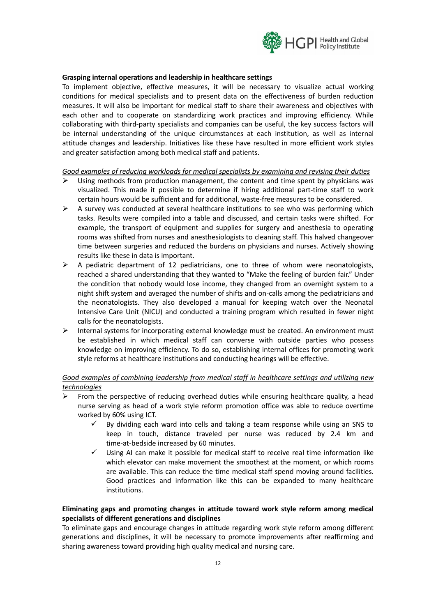

### **Grasping internal operations and leadership in healthcare settings**

To implement objective, effective measures, it will be necessary to visualize actual working conditions for medical specialists and to present data on the effectiveness of burden reduction measures. It will also be important for medical staff to share their awareness and objectives with each other and to cooperate on standardizing work practices and improving efficiency. While collaborating with third-party specialists and companies can be useful, the key success factors will be internal understanding of the unique circumstances at each institution, as well as internal attitude changes and leadership. Initiatives like these have resulted in more efficient work styles and greater satisfaction among both medical staff and patients.

### *Good examples of reducing workloads for medical specialists by examining and revising their duties*

- Using methods from production management, the content and time spent by physicians was visualized. This made it possible to determine if hiring additional part-time staff to work certain hours would be sufficient and for additional, waste-free measures to be considered.
- $\triangleright$  A survey was conducted at several healthcare institutions to see who was performing which tasks. Results were compiled into a table and discussed, and certain tasks were shifted. For example, the transport of equipment and supplies for surgery and anesthesia to operating rooms was shifted from nurses and anesthesiologists to cleaning staff. This halved changeover time between surgeries and reduced the burdens on physicians and nurses. Actively showing results like these in data is important.
- $\triangleright$  A pediatric department of 12 pediatricians, one to three of whom were neonatologists, reached a shared understanding that they wanted to "Make the feeling of burden fair." Under the condition that nobody would lose income, they changed from an overnight system to a night shift system and averaged the number of shifts and on-calls among the pediatricians and the neonatologists. They also developed a manual for keeping watch over the Neonatal Intensive Care Unit (NICU) and conducted a training program which resulted in fewer night calls for the neonatologists.
- ➢ Internal systems for incorporating external knowledge must be created. An environment must be established in which medical staff can converse with outside parties who possess knowledge on improving efficiency. To do so, establishing internal offices for promoting work style reforms at healthcare institutions and conducting hearings will be effective.

# *Good examples of combining leadership from medical staff in healthcare settings and utilizing new technologies*

- From the perspective of reducing overhead duties while ensuring healthcare quality, a head nurse serving as head of a work style reform promotion office was able to reduce overtime worked by 60% using ICT.
	- $\checkmark$  By dividing each ward into cells and taking a team response while using an SNS to keep in touch, distance traveled per nurse was reduced by 2.4 km and time-at-bedside increased by 60 minutes.
	- Using AI can make it possible for medical staff to receive real time information like which elevator can make movement the smoothest at the moment, or which rooms are available. This can reduce the time medical staff spend moving around facilities. Good practices and information like this can be expanded to many healthcare institutions.

# **Eliminating gaps and promoting changes in attitude toward work style reform among medical specialists of different generations and disciplines**

To eliminate gaps and encourage changes in attitude regarding work style reform among different generations and disciplines, it will be necessary to promote improvements after reaffirming and sharing awareness toward providing high quality medical and nursing care.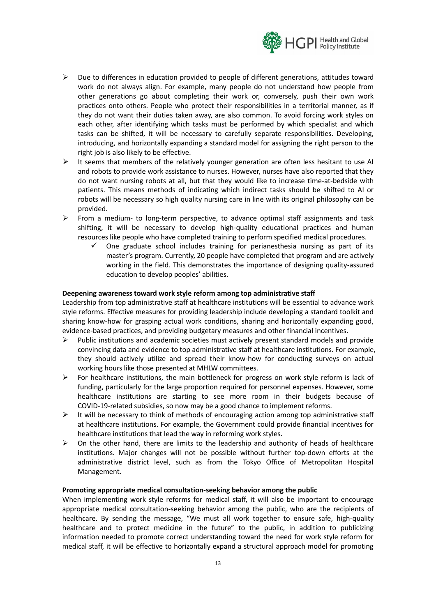

- $\triangleright$  Due to differences in education provided to people of different generations, attitudes toward work do not always align. For example, many people do not understand how people from other generations go about completing their work or, conversely, push their own work practices onto others. People who protect their responsibilities in a territorial manner, as if they do not want their duties taken away, are also common. To avoid forcing work styles on each other, after identifying which tasks must be performed by which specialist and which tasks can be shifted, it will be necessary to carefully separate responsibilities. Developing, introducing, and horizontally expanding a standard model for assigning the right person to the right job is also likely to be effective.
- $\triangleright$  It seems that members of the relatively younger generation are often less hesitant to use AI and robots to provide work assistance to nurses. However, nurses have also reported that they do not want nursing robots at all, but that they would like to increase time-at-bedside with patients. This means methods of indicating which indirect tasks should be shifted to AI or robots will be necessary so high quality nursing care in line with its original philosophy can be provided.
- $\triangleright$  From a medium- to long-term perspective, to advance optimal staff assignments and task shifting, it will be necessary to develop high-quality educational practices and human resources like people who have completed training to perform specified medical procedures.
	- $\checkmark$  One graduate school includes training for perianesthesia nursing as part of its master's program. Currently, 20 people have completed that program and are actively working in the field. This demonstrates the importance of designing quality-assured education to develop peoples' abilities.

### **Deepening awareness toward work style reform among top administrative staff**

Leadership from top administrative staff at healthcare institutions will be essential to advance work style reforms. Effective measures for providing leadership include developing a standard toolkit and sharing know-how for grasping actual work conditions, sharing and horizontally expanding good, evidence-based practices, and providing budgetary measures and other financial incentives.

- $\triangleright$  Public institutions and academic societies must actively present standard models and provide convincing data and evidence to top administrative staff at healthcare institutions. For example, they should actively utilize and spread their know-how for conducting surveys on actual working hours like those presented at MHLW committees.
- $\triangleright$  For healthcare institutions, the main bottleneck for progress on work style reform is lack of funding, particularly for the large proportion required for personnel expenses. However, some healthcare institutions are starting to see more room in their budgets because of COVID-19-related subsidies, so now may be a good chance to implement reforms.
- $\triangleright$  It will be necessary to think of methods of encouraging action among top administrative staff at healthcare institutions. For example, the Government could provide financial incentives for healthcare institutions that lead the way in reforming work styles.
- $\triangleright$  On the other hand, there are limits to the leadership and authority of heads of healthcare institutions. Major changes will not be possible without further top-down efforts at the administrative district level, such as from the Tokyo Office of Metropolitan Hospital Management.

#### **Promoting appropriate medical consultation-seeking behavior among the public**

When implementing work style reforms for medical staff, it will also be important to encourage appropriate medical consultation-seeking behavior among the public, who are the recipients of healthcare. By sending the message, "We must all work together to ensure safe, high-quality healthcare and to protect medicine in the future" to the public, in addition to publicizing information needed to promote correct understanding toward the need for work style reform for medical staff, it will be effective to horizontally expand a structural approach model for promoting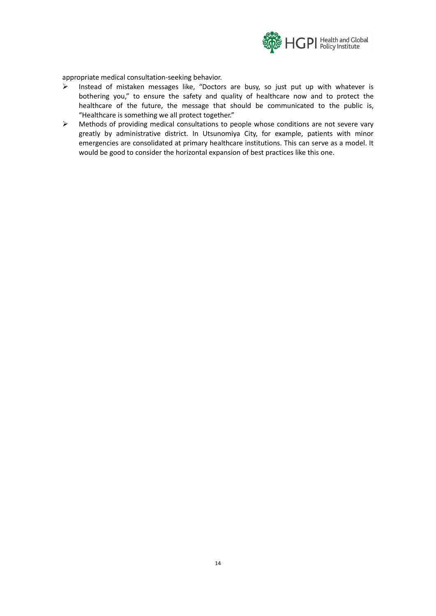

appropriate medical consultation-seeking behavior.

- ➢ Instead of mistaken messages like, "Doctors are busy, so just put up with whatever is bothering you," to ensure the safety and quality of healthcare now and to protect the healthcare of the future, the message that should be communicated to the public is, "Healthcare is something we all protect together."
- ➢ Methods of providing medical consultations to people whose conditions are not severe vary greatly by administrative district. In Utsunomiya City, for example, patients with minor emergencies are consolidated at primary healthcare institutions. This can serve as a model. It would be good to consider the horizontal expansion of best practices like this one.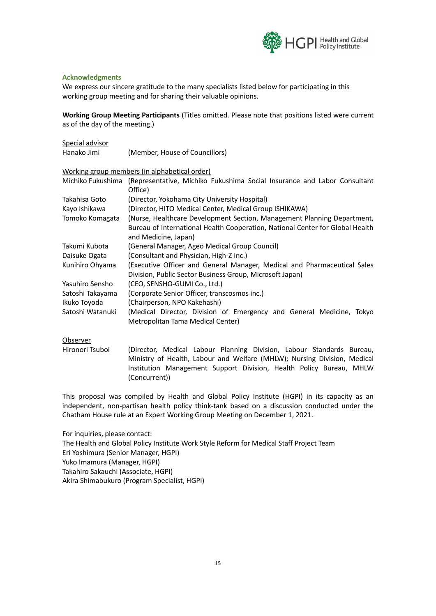

### **Acknowledgments**

We express our sincere gratitude to the many specialists listed below for participating in this working group meeting and for sharing their valuable opinions.

**Working Group Meeting Participants** (Titles omitted. Please note that positions listed were current as of the day of the meeting.)

| Special advisor                               |                                                                                                           |
|-----------------------------------------------|-----------------------------------------------------------------------------------------------------------|
| Hanako Jimi                                   | (Member, House of Councillors)                                                                            |
| Working group members (in alphabetical order) |                                                                                                           |
| Michiko Fukushima                             | (Representative, Michiko Fukushima Social Insurance and Labor Consultant<br>Office)                       |
| Takahisa Goto                                 | (Director, Yokohama City University Hospital)                                                             |
| Kayo Ishikawa                                 | (Director, HITO Medical Center, Medical Group ISHIKAWA)                                                   |
| Tomoko Komagata                               | (Nurse, Healthcare Development Section, Management Planning Department,                                   |
|                                               | Bureau of International Health Cooperation, National Center for Global Health<br>and Medicine, Japan)     |
| Takumi Kubota                                 | (General Manager, Ageo Medical Group Council)                                                             |
| Daisuke Ogata                                 | (Consultant and Physician, High-Z Inc.)                                                                   |
| Kunihiro Ohyama                               | (Executive Officer and General Manager, Medical and Pharmaceutical Sales                                  |
|                                               | Division, Public Sector Business Group, Microsoft Japan)                                                  |
| Yasuhiro Sensho                               | (CEO, SENSHO-GUMI Co., Ltd.)                                                                              |
| Satoshi Takayama                              | (Corporate Senior Officer, transcosmos inc.)                                                              |
| Ikuko Toyoda                                  | (Chairperson, NPO Kakehashi)                                                                              |
| Satoshi Watanuki                              | (Medical Director, Division of Emergency and General Medicine, Tokyo<br>Metropolitan Tama Medical Center) |

**Observer** 

Hironori Tsuboi (Director, Medical Labour Planning Division, Labour Standards Bureau, Ministry of Health, Labour and Welfare (MHLW); Nursing Division, Medical Institution Management Support Division, Health Policy Bureau, MHLW (Concurrent))

This proposal was compiled by Health and Global Policy Institute (HGPI) in its capacity as an independent, non-partisan health policy think-tank based on a discussion conducted under the Chatham House rule at an Expert Working Group Meeting on December 1, 2021.

For inquiries, please contact: The Health and Global Policy Institute Work Style Reform for Medical Staff Project Team Eri Yoshimura (Senior Manager, HGPI) Yuko Imamura (Manager, HGPI) Takahiro Sakauchi (Associate, HGPI) Akira Shimabukuro (Program Specialist, HGPI)